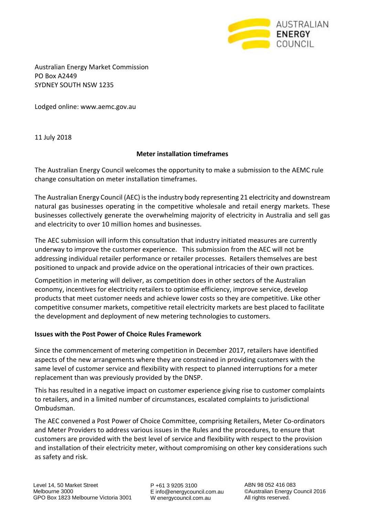

Australian Energy Market Commission PO Box A2449 SYDNEY SOUTH NSW 1235

Lodged online: [www.aemc.gov.au](http://www.aemc.gov.au/)

11 July 2018

#### **Meter installation timeframes**

The Australian Energy Council welcomes the opportunity to make a submission to the AEMC rule change consultation on meter installation timeframes.

The Australian Energy Council (AEC) is the industry body representing 21 electricity and downstream natural gas businesses operating in the competitive wholesale and retail energy markets. These businesses collectively generate the overwhelming majority of electricity in Australia and sell gas and electricity to over 10 million homes and businesses.

The AEC submission will inform this consultation that industry initiated measures are currently underway to improve the customer experience. This submission from the AEC will not be addressing individual retailer performance or retailer processes. Retailers themselves are best positioned to unpack and provide advice on the operational intricacies of their own practices.

Competition in metering will deliver, as competition does in other sectors of the Australian economy, incentives for electricity retailers to optimise efficiency, improve service, develop products that meet customer needs and achieve lower costs so they are competitive. Like other competitive consumer markets, competitive retail electricity markets are best placed to facilitate the development and deployment of new metering technologies to customers.

#### **Issues with the Post Power of Choice Rules Framework**

Since the commencement of metering competition in December 2017, retailers have identified aspects of the new arrangements where they are constrained in providing customers with the same level of customer service and flexibility with respect to planned interruptions for a meter replacement than was previously provided by the DNSP.

This has resulted in a negative impact on customer experience giving rise to customer complaints to retailers, and in a limited number of circumstances, escalated complaints to jurisdictional Ombudsman.

The AEC convened a Post Power of Choice Committee, comprising Retailers, Meter Co-ordinators and Meter Providers to address various issues in the Rules and the procedures, to ensure that customers are provided with the best level of service and flexibility with respect to the provision and installation of their electricity meter, without compromising on other key considerations such as safety and risk.

P +61 3 9205 3100 E info@energycouncil.com.au W energycouncil.com.au

ABN 98 052 416 083 ©Australian Energy Council 2016 All rights reserved.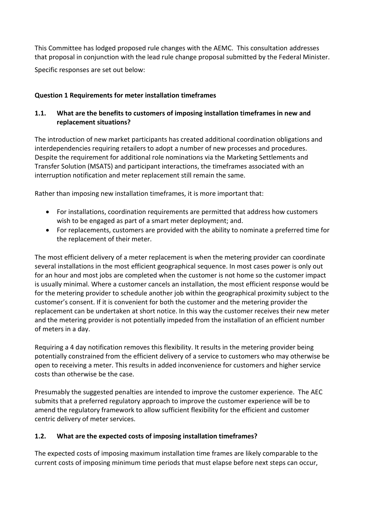This Committee has lodged proposed rule changes with the AEMC. This consultation addresses that proposal in conjunction with the lead rule change proposal submitted by the Federal Minister.

Specific responses are set out below:

# **Question 1 Requirements for meter installation timeframes**

# **1.1. What are the benefits to customers of imposing installation timeframes in new and replacement situations?**

The introduction of new market participants has created additional coordination obligations and interdependencies requiring retailers to adopt a number of new processes and procedures. Despite the requirement for additional role nominations via the Marketing Settlements and Transfer Solution (MSATS) and participant interactions, the timeframes associated with an interruption notification and meter replacement still remain the same.

Rather than imposing new installation timeframes, it is more important that:

- For installations, coordination requirements are permitted that address how customers wish to be engaged as part of a smart meter deployment; and.
- For replacements, customers are provided with the ability to nominate a preferred time for the replacement of their meter.

The most efficient delivery of a meter replacement is when the metering provider can coordinate several installations in the most efficient geographical sequence. In most cases power is only out for an hour and most jobs are completed when the customer is not home so the customer impact is usually minimal. Where a customer cancels an installation, the most efficient response would be for the metering provider to schedule another job within the geographical proximity subject to the customer's consent. If it is convenient for both the customer and the metering provider the replacement can be undertaken at short notice. In this way the customer receives their new meter and the metering provider is not potentially impeded from the installation of an efficient number of meters in a day.

Requiring a 4 day notification removes this flexibility. It results in the metering provider being potentially constrained from the efficient delivery of a service to customers who may otherwise be open to receiving a meter. This results in added inconvenience for customers and higher service costs than otherwise be the case.

Presumably the suggested penalties are intended to improve the customer experience. The AEC submits that a preferred regulatory approach to improve the customer experience will be to amend the regulatory framework to allow sufficient flexibility for the efficient and customer centric delivery of meter services.

### **1.2. What are the expected costs of imposing installation timeframes?**

The expected costs of imposing maximum installation time frames are likely comparable to the current costs of imposing minimum time periods that must elapse before next steps can occur,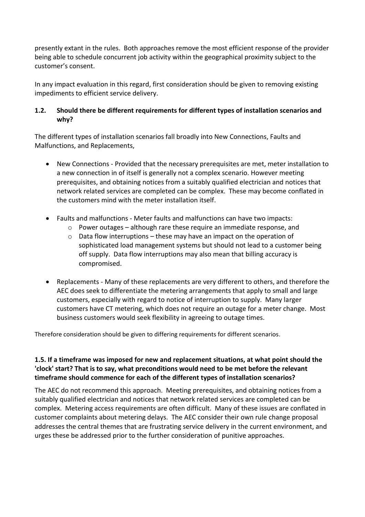presently extant in the rules. Both approaches remove the most efficient response of the provider being able to schedule concurrent job activity within the geographical proximity subject to the customer's consent.

In any impact evaluation in this regard, first consideration should be given to removing existing impediments to efficient service delivery.

# **1.2. Should there be different requirements for different types of installation scenarios and why?**

The different types of installation scenarios fall broadly into New Connections, Faults and Malfunctions, and Replacements,

- New Connections Provided that the necessary prerequisites are met, meter installation to a new connection in of itself is generally not a complex scenario. However meeting prerequisites, and obtaining notices from a suitably qualified electrician and notices that network related services are completed can be complex. These may become conflated in the customers mind with the meter installation itself.
- Faults and malfunctions Meter faults and malfunctions can have two impacts:
	- $\circ$  Power outages although rare these require an immediate response, and
	- $\circ$  Data flow interruptions these may have an impact on the operation of sophisticated load management systems but should not lead to a customer being off supply. Data flow interruptions may also mean that billing accuracy is compromised.
- Replacements Many of these replacements are very different to others, and therefore the AEC does seek to differentiate the metering arrangements that apply to small and large customers, especially with regard to notice of interruption to supply. Many larger customers have CT metering, which does not require an outage for a meter change. Most business customers would seek flexibility in agreeing to outage times.

Therefore consideration should be given to differing requirements for different scenarios.

# **1.5. If a timeframe was imposed for new and replacement situations, at what point should the 'clock' start? That is to say, what preconditions would need to be met before the relevant timeframe should commence for each of the different types of installation scenarios?**

The AEC do not recommend this approach. Meeting prerequisites, and obtaining notices from a suitably qualified electrician and notices that network related services are completed can be complex. Metering access requirements are often difficult. Many of these issues are conflated in customer complaints about metering delays. The AEC consider their own rule change proposal addresses the central themes that are frustrating service delivery in the current environment, and urges these be addressed prior to the further consideration of punitive approaches.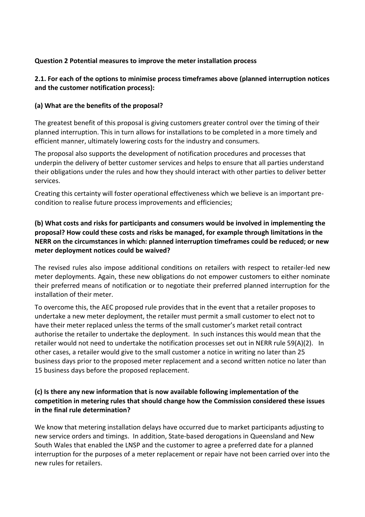## **Question 2 Potential measures to improve the meter installation process**

## **2.1. For each of the options to minimise process timeframes above (planned interruption notices and the customer notification process):**

#### **(a) What are the benefits of the proposal?**

The greatest benefit of this proposal is giving customers greater control over the timing of their planned interruption. This in turn allows for installations to be completed in a more timely and efficient manner, ultimately lowering costs for the industry and consumers.

The proposal also supports the development of notification procedures and processes that underpin the delivery of better customer services and helps to ensure that all parties understand their obligations under the rules and how they should interact with other parties to deliver better services.

Creating this certainty will foster operational effectiveness which we believe is an important precondition to realise future process improvements and efficiencies;

## **(b) What costs and risks for participants and consumers would be involved in implementing the proposal? How could these costs and risks be managed, for example through limitations in the NERR on the circumstances in which: planned interruption timeframes could be reduced; or new meter deployment notices could be waived?**

The revised rules also impose additional conditions on retailers with respect to retailer-led new meter deployments. Again, these new obligations do not empower customers to either nominate their preferred means of notification or to negotiate their preferred planned interruption for the installation of their meter.

To overcome this, the AEC proposed rule provides that in the event that a retailer proposes to undertake a new meter deployment, the retailer must permit a small customer to elect not to have their meter replaced unless the terms of the small customer's market retail contract authorise the retailer to undertake the deployment. In such instances this would mean that the retailer would not need to undertake the notification processes set out in NERR rule 59(A)(2). In other cases, a retailer would give to the small customer a notice in writing no later than 25 business days prior to the proposed meter replacement and a second written notice no later than 15 business days before the proposed replacement.

## **(c) Is there any new information that is now available following implementation of the competition in metering rules that should change how the Commission considered these issues in the final rule determination?**

We know that metering installation delays have occurred due to market participants adjusting to new service orders and timings. In addition, State-based derogations in Queensland and New South Wales that enabled the LNSP and the customer to agree a preferred date for a planned interruption for the purposes of a meter replacement or repair have not been carried over into the new rules for retailers.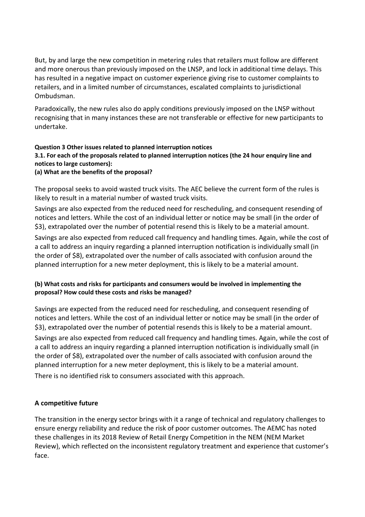But, by and large the new competition in metering rules that retailers must follow are different and more onerous than previously imposed on the LNSP, and lock in additional time delays. This has resulted in a negative impact on customer experience giving rise to customer complaints to retailers, and in a limited number of circumstances, escalated complaints to jurisdictional Ombudsman.

Paradoxically, the new rules also do apply conditions previously imposed on the LNSP without recognising that in many instances these are not transferable or effective for new participants to undertake.

# **Question 3 Other issues related to planned interruption notices 3.1. For each of the proposals related to planned interruption notices (the 24 hour enquiry line and notices to large customers):**

### **(a) What are the benefits of the proposal?**

The proposal seeks to avoid wasted truck visits. The AEC believe the current form of the rules is likely to result in a material number of wasted truck visits.

Savings are also expected from the reduced need for rescheduling, and consequent resending of notices and letters. While the cost of an individual letter or notice may be small (in the order of \$3), extrapolated over the number of potential resend this is likely to be a material amount.

Savings are also expected from reduced call frequency and handling times. Again, while the cost of a call to address an inquiry regarding a planned interruption notification is individually small (in the order of \$8), extrapolated over the number of calls associated with confusion around the planned interruption for a new meter deployment, this is likely to be a material amount.

### **(b) What costs and risks for participants and consumers would be involved in implementing the proposal? How could these costs and risks be managed?**

Savings are expected from the reduced need for rescheduling, and consequent resending of notices and letters. While the cost of an individual letter or notice may be small (in the order of \$3), extrapolated over the number of potential resends this is likely to be a material amount. Savings are also expected from reduced call frequency and handling times. Again, while the cost of a call to address an inquiry regarding a planned interruption notification is individually small (in the order of \$8), extrapolated over the number of calls associated with confusion around the planned interruption for a new meter deployment, this is likely to be a material amount. There is no identified risk to consumers associated with this approach.

### **A competitive future**

The transition in the energy sector brings with it a range of technical and regulatory challenges to ensure energy reliability and reduce the risk of poor customer outcomes. The AEMC has noted these challenges in its 2018 Review of Retail Energy Competition in the NEM (NEM Market Review), which reflected on the inconsistent regulatory treatment and experience that customer's face.